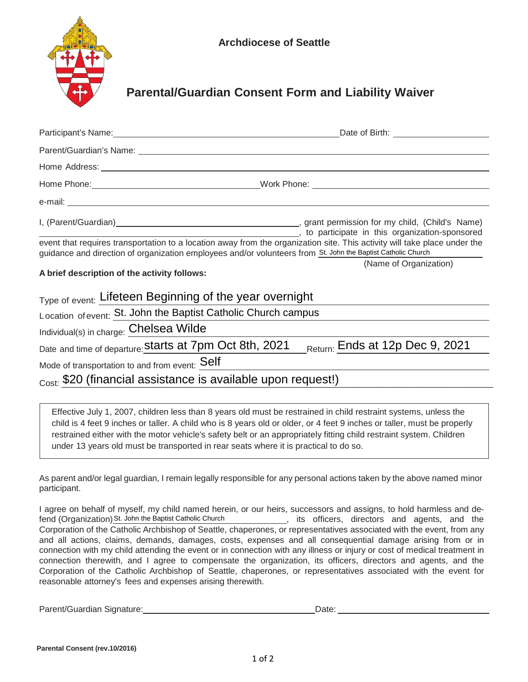

## **Parental/Guardian Consent Form and Liability Waiver**

|                                                                | Date of Birth: ________________________                                                                                                                                                                                                     |
|----------------------------------------------------------------|---------------------------------------------------------------------------------------------------------------------------------------------------------------------------------------------------------------------------------------------|
|                                                                |                                                                                                                                                                                                                                             |
|                                                                |                                                                                                                                                                                                                                             |
|                                                                |                                                                                                                                                                                                                                             |
|                                                                |                                                                                                                                                                                                                                             |
|                                                                | in this organization-sponsored in the state of the set of the set of the set of the set of the set of the set o                                                                                                                             |
|                                                                | event that requires transportation to a location away from the organization site. This activity will take place under the<br>guidance and direction of organization employees and/or volunteers from St. John the Baptist Catholic Church   |
|                                                                | (Name of Organization)                                                                                                                                                                                                                      |
| A brief description of the activity follows:                   |                                                                                                                                                                                                                                             |
| Type of event: Lifeteen Beginning of the year overnight        |                                                                                                                                                                                                                                             |
| Location of event: St. John the Baptist Catholic Church campus |                                                                                                                                                                                                                                             |
| Individual(s) in charge: Chelsea Wilde                         |                                                                                                                                                                                                                                             |
|                                                                | Date and time of departure: <b>Starts at 7pm Oct 8th, 2021</b> Return: Ends at 12p Dec 9, 2021                                                                                                                                              |
| Mode of transportation to and from event: Self                 |                                                                                                                                                                                                                                             |
| Cost: \$20 (financial assistance is available upon request!)   |                                                                                                                                                                                                                                             |
|                                                                |                                                                                                                                                                                                                                             |
|                                                                | Effective July 1, 2007, children less than 8 years old must be restrained in child restraint systems, unless the<br>child is 4 feet 9 inches or taller. A child who is 8 years old or older, or 4 feet 9 inches or taller, must be properly |

under 13 years old must be transported in rear seats where it is practical to do so.

restrained either with the motor vehicle's safety belt or an appropriately fitting child restraint system. Children

As parent and/or legal guardian, I remain legally responsible for any personal actions taken by the above named minor participant.

I agree on behalf of myself, my child named herein, or our heirs, successors and assigns, to hold harmless and defend (Organization) St. John the Baptist Catholic Church **Example 20** its officers, directors and agents, and the Corporation of the Catholic Archbishop of Seattle, chaperones, or representatives associated with the event, from any and all actions, claims, demands, damages, costs, expenses and all consequential damage arising from or in connection with my child attending the event or in connection with any illness or injury or cost of medical treatment in connection therewith, and I agree to compensate the organization, its officers, directors and agents, and the Corporation of the Catholic Archbishop of Seattle, chaperones, or representatives associated with the event for reasonable attorney's fees and expenses arising therewith.

Parent/Guardian Signature: Date: